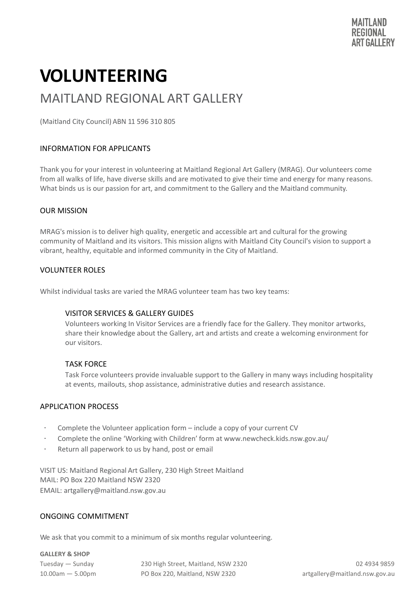# **VOLUNTEERING**

### MAITLAND REGIONAL ART GALLERY

(Maitland City Council) ABN 11 596 310 805

#### INFORMATION FOR APPLICANTS

Thank you for your interest in volunteering at Maitland Regional Art Gallery (MRAG). Our volunteers come from all walks of life, have diverse skills and are motivated to give their time and energy for many reasons. What binds us is our passion for art, and commitment to the Gallery and the Maitland community.

#### OUR MISSION

MRAG's mission is to deliver high quality, energetic and accessible art and cultural for the growing community of Maitland and its visitors. This mission aligns with Maitland City Council's vision to support a vibrant, healthy, equitable and informed community in the City of Maitland.

#### VOLUNTEER ROLES

Whilst individual tasks are varied the MRAG volunteer team has two key teams:

#### VISITOR SERVICES & GALLERY GUIDES

Volunteers working In Visitor Services are a friendly face for the Gallery. They monitor artworks, share their knowledge about the Gallery, art and artists and create a welcoming environment for our visitors.

#### TASK FORCE

Task Force volunteers provide invaluable support to the Gallery in many ways including hospitality at events, mailouts, shop assistance, administrative duties and research assistance.

#### APPLICATION PROCESS

- Complete the Volunteer application form include a copy of your current CV
- · Complete the online 'Working with Children' form [at www.newcheck.kids.nsw.gov.au/](http://www.newcheck.kids.nsw.gov.au/)
- Return all paperwork to us by hand, post or email

VISIT US: Maitland Regional Art Gallery, 230 High Street Maitland MAIL: PO Box 220 Maitland NSW 2320 EMAIL: [artgallery@maitland.nsw.gov.au](mailto:artgallery@maitland.nsw.gov.au)

#### ONGOING COMMITMENT

We ask that you commit to a minimum of six months regular volunteering.

**GALLERY & SHOP**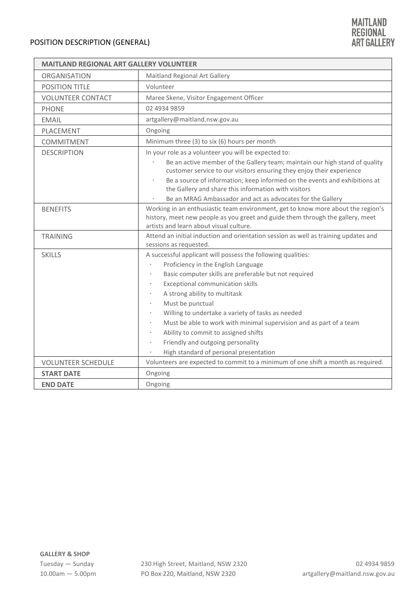| <b>MAITLAND REGIONAL ART GALLERY VOLUNTEER</b> |                                                                                                                                                                                                               |  |  |
|------------------------------------------------|---------------------------------------------------------------------------------------------------------------------------------------------------------------------------------------------------------------|--|--|
| <b>ORGANISATION</b>                            | Maitland Regional Art Gallery                                                                                                                                                                                 |  |  |
| <b>POSITION TITLE</b>                          | Volunteer                                                                                                                                                                                                     |  |  |
| <b>VOLUNTEER CONTACT</b>                       | Maree Skene, Visitor Engagement Officer                                                                                                                                                                       |  |  |
| <b>PHONE</b>                                   | 02 4934 9859                                                                                                                                                                                                  |  |  |
| <b>EMAIL</b>                                   | artgallery@maitland.nsw.gov.au                                                                                                                                                                                |  |  |
| PLACEMENT                                      | Ongoing                                                                                                                                                                                                       |  |  |
| COMMITMENT                                     | Minimum three (3) to six (6) hours per month                                                                                                                                                                  |  |  |
| <b>DESCRIPTION</b>                             | In your role as a volunteer you will be expected to:                                                                                                                                                          |  |  |
|                                                | Be an active member of the Gallery team; maintain our high stand of quality<br>customer service to our visitors ensuring they enjoy their experience                                                          |  |  |
|                                                | Be a source of information; keep informed on the events and exhibitions at<br>the Gallery and share this information with visitors                                                                            |  |  |
|                                                | Be an MRAG Ambassador and act as advocates for the Gallery                                                                                                                                                    |  |  |
| <b>BENEFITS</b>                                | Working in an enthusiastic team environment, get to know more about the region's<br>history, meet new people as you greet and guide them through the gallery, meet<br>artists and learn about visual culture. |  |  |
| <b>TRAINING</b>                                | Attend an initial induction and orientation session as well as training updates and                                                                                                                           |  |  |
|                                                | sessions as requested.                                                                                                                                                                                        |  |  |
| <b>SKILLS</b>                                  | A successful applicant will possess the following qualities:                                                                                                                                                  |  |  |
|                                                | Proficiency in the English Language                                                                                                                                                                           |  |  |
|                                                | Basic computer skills are preferable but not required                                                                                                                                                         |  |  |
|                                                | Exceptional communication skills                                                                                                                                                                              |  |  |
|                                                | A strong ability to multitask                                                                                                                                                                                 |  |  |
|                                                | Must be punctual                                                                                                                                                                                              |  |  |
|                                                | Willing to undertake a variety of tasks as needed                                                                                                                                                             |  |  |
|                                                | Must be able to work with minimal supervision and as part of a team                                                                                                                                           |  |  |
|                                                | Ability to commit to assigned shifts                                                                                                                                                                          |  |  |
|                                                | Friendly and outgoing personality<br>$\ddot{\phantom{0}}$                                                                                                                                                     |  |  |
|                                                | High standard of personal presentation<br>$\bullet$                                                                                                                                                           |  |  |
| <b>VOLUNTEER SCHEDULE</b>                      | Volunteers are expected to commit to a minimum of one shift a month as required.                                                                                                                              |  |  |
| <b>START DATE</b>                              | Ongoing                                                                                                                                                                                                       |  |  |
| <b>END DATE</b>                                | Ongoing                                                                                                                                                                                                       |  |  |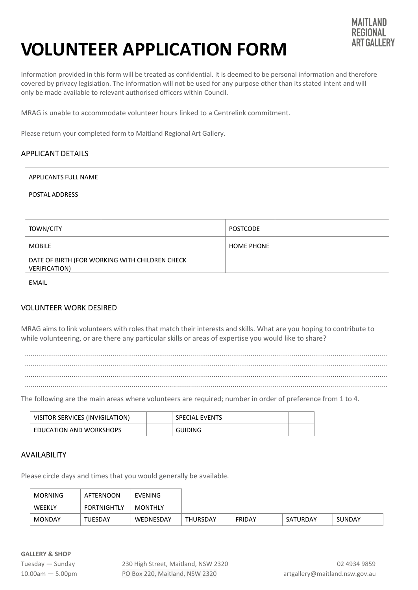

## **VOLUNTEER APPLICATION FORM**

Information provided in this form will be treated as confidential. It is deemed to be personal information and therefore covered by privacy legislation. The information will not be used for any purpose other than its stated intent and will only be made available to relevant authorised officers within Council.

MRAG is unable to accommodate volunteer hours linked to a Centrelink commitment.

Please return your completed form to Maitland Regional Art Gallery.

#### APPLICANT DETAILS

| APPLICANTS FULL NAME                                                   |  |                   |  |
|------------------------------------------------------------------------|--|-------------------|--|
| POSTAL ADDRESS                                                         |  |                   |  |
|                                                                        |  |                   |  |
| <b>TOWN/CITY</b>                                                       |  | <b>POSTCODE</b>   |  |
| <b>MOBILE</b>                                                          |  | <b>HOME PHONE</b> |  |
| DATE OF BIRTH (FOR WORKING WITH CHILDREN CHECK<br><b>VERIFICATION)</b> |  |                   |  |
| EMAIL                                                                  |  |                   |  |

#### VOLUNTEER WORK DESIRED

MRAG aims to link volunteers with roles that match their interests and skills. What are you hoping to contribute to while volunteering, or are there any particular skills or areas of expertise you would like to share?



The following are the main areas where volunteers are required; number in order of preference from 1 to 4.

| VISITOR SERVICES (INVIGILATION) | <b>SPECIAL EVENTS</b> |  |
|---------------------------------|-----------------------|--|
| <b>EDUCATION AND WORKSHOPS</b>  | <b>GUIDING</b>        |  |

#### AVAILABILITY

Please circle days and times that you would generally be available.

| MORNING | AFTERNOON          | EVENING        |                 |        |          |        |
|---------|--------------------|----------------|-----------------|--------|----------|--------|
| WEEKLY  | <b>FORTNIGHTLY</b> | <b>MONTHLY</b> |                 |        |          |        |
| MONDAY  | <b>TUESDAY</b>     | WEDNESDAY      | <b>THURSDAY</b> | FRIDAY | SATURDAY | SUNDAY |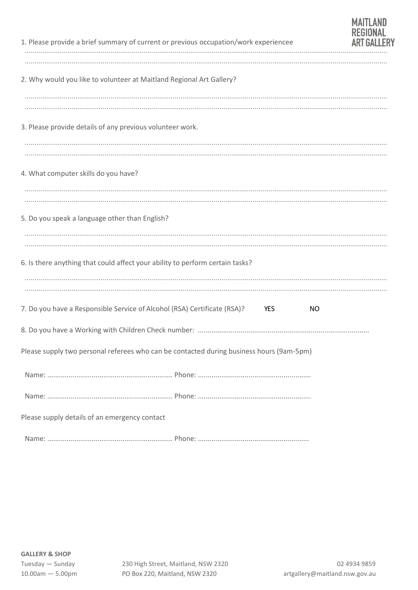|                                                           | 1. Please provide a brief summary of current or previous occupation/work experiencee     |            | <b>REGIONAL</b> |
|-----------------------------------------------------------|------------------------------------------------------------------------------------------|------------|-----------------|
|                                                           | 2. Why would you like to volunteer at Maitland Regional Art Gallery?                     |            |                 |
| 3. Please provide details of any previous volunteer work. |                                                                                          |            |                 |
| 4. What computer skills do you have?                      |                                                                                          |            |                 |
| 5. Do you speak a language other than English?            |                                                                                          |            |                 |
|                                                           | 6. Is there anything that could affect your ability to perform certain tasks?            |            |                 |
|                                                           | 7. Do you have a Responsible Service of Alcohol (RSA) Certificate (RSA)?                 | YES<br>NO. |                 |
|                                                           |                                                                                          |            |                 |
|                                                           | Please supply two personal referees who can be contacted during business hours (9am-5pm) |            |                 |
|                                                           |                                                                                          |            |                 |
|                                                           |                                                                                          |            |                 |
| Please supply details of an emergency contact             |                                                                                          |            |                 |
|                                                           |                                                                                          |            |                 |

**MAITLAND**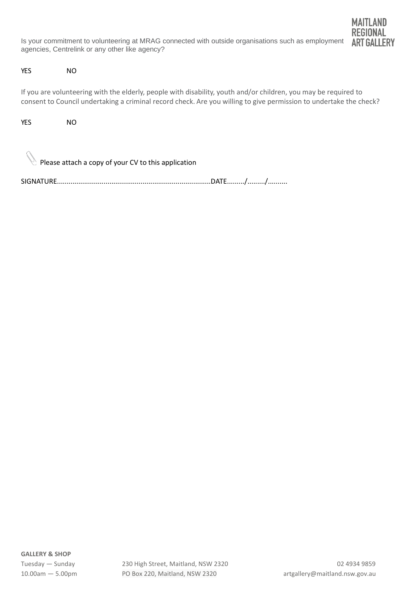Is your commitment to volunteering at MRAG connected with outside organisations such as employment agencies, Centrelink or any other like agency?



#### YES NO

If you are volunteering with the elderly, people with disability, youth and/or children, you may be required to consent to Council undertaking a criminal record check. Are you willing to give permission to undertake the check?

YES NO

Please attach a copy of your CV to this application

SIGNATURE...............................................................................DATE........./........./..........